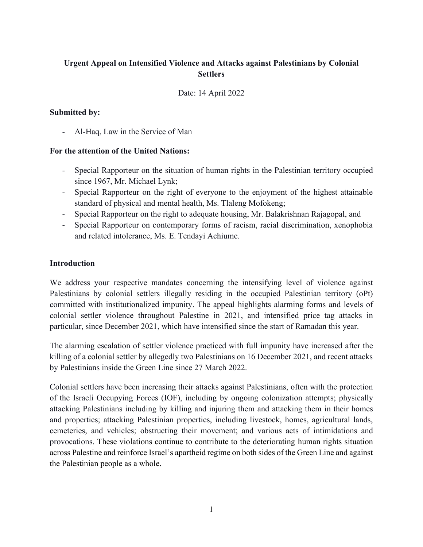# **Urgent Appeal on Intensified Violence and Attacks against Palestinians by Colonial Settlers**

Date: 14 April 2022

## **Submitted by:**

- Al-Haq, Law in the Service of Man

#### **For the attention of the United Nations:**

- Special Rapporteur on the situation of human rights in the Palestinian territory occupied since 1967, Mr. Michael Lynk;
- Special Rapporteur on the right of everyone to the enjoyment of the highest attainable standard of physical and mental health, Ms. Tlaleng Mofokeng;
- Special Rapporteur on the right to adequate housing, Mr. Balakrishnan Rajagopal, and
- Special Rapporteur on contemporary forms of racism, racial discrimination, xenophobia and related intolerance, Ms. E. Tendayi Achiume.

## **Introduction**

We address your respective mandates concerning the intensifying level of violence against Palestinians by colonial settlers illegally residing in the occupied Palestinian territory (oPt) committed with institutionalized impunity. The appeal highlights alarming forms and levels of colonial settler violence throughout Palestine in 2021, and intensified price tag attacks in particular, since December 2021, which have intensified since the start of Ramadan this year.

The alarming escalation of settler violence practiced with full impunity have increased after the killing of a colonial settler by allegedly two Palestinians on 16 December 2021, and recent attacks by Palestinians inside the Green Line since 27 March 2022.

Colonial settlers have been increasing their attacks against Palestinians, often with the protection of the Israeli Occupying Forces (IOF), including by ongoing colonization attempts; physically attacking Palestinians including by killing and injuring them and attacking them in their homes and properties; attacking Palestinian properties, including livestock, homes, agricultural lands, cemeteries, and vehicles; obstructing their movement; and various acts of intimidations and provocations. These violations continue to contribute to the deteriorating human rights situation across Palestine and reinforce Israel's apartheid regime on both sides of the Green Line and against the Palestinian people as a whole.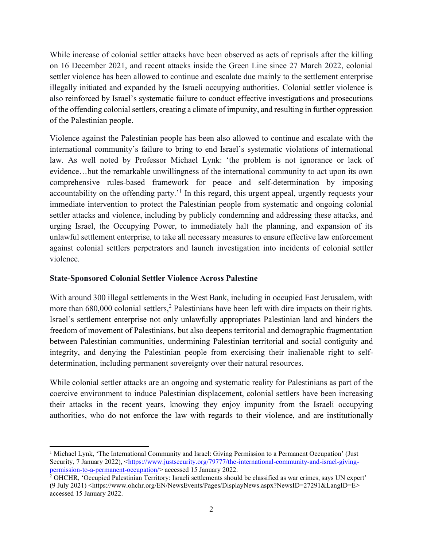While increase of colonial settler attacks have been observed as acts of reprisals after the killing on 16 December 2021, and recent attacks inside the Green Line since 27 March 2022, colonial settler violence has been allowed to continue and escalate due mainly to the settlement enterprise illegally initiated and expanded by the Israeli occupying authorities. Colonial settler violence is also reinforced by Israel's systematic failure to conduct effective investigations and prosecutions of the offending colonial settlers, creating a climate of impunity, and resulting in further oppression of the Palestinian people.

Violence against the Palestinian people has been also allowed to continue and escalate with the international community's failure to bring to end Israel's systematic violations of international law. As well noted by Professor Michael Lynk: 'the problem is not ignorance or lack of evidence…but the remarkable unwillingness of the international community to act upon its own comprehensive rules-based framework for peace and self-determination by imposing accountability on the offending party.<sup>1</sup> In this regard, this urgent appeal, urgently requests your immediate intervention to protect the Palestinian people from systematic and ongoing colonial settler attacks and violence, including by publicly condemning and addressing these attacks, and urging Israel, the Occupying Power, to immediately halt the planning, and expansion of its unlawful settlement enterprise, to take all necessary measures to ensure effective law enforcement against colonial settlers perpetrators and launch investigation into incidents of colonial settler violence.

# **State-Sponsored Colonial Settler Violence Across Palestine**

With around 300 illegal settlements in the West Bank, including in occupied East Jerusalem, with more than 680,000 colonial settlers,<sup>2</sup> Palestinians have been left with dire impacts on their rights. Israel's settlement enterprise not only unlawfully appropriates Palestinian land and hinders the freedom of movement of Palestinians, but also deepens territorial and demographic fragmentation between Palestinian communities, undermining Palestinian territorial and social contiguity and integrity, and denying the Palestinian people from exercising their inalienable right to selfdetermination, including permanent sovereignty over their natural resources.

While colonial settler attacks are an ongoing and systematic reality for Palestinians as part of the coercive environment to induce Palestinian displacement, colonial settlers have been increasing their attacks in the recent years, knowing they enjoy impunity from the Israeli occupying authorities, who do not enforce the law with regards to their violence, and are institutionally

<sup>&</sup>lt;sup>1</sup> Michael Lynk, 'The International Community and Israel: Giving Permission to a Permanent Occupation' (Just Security, 7 January 2022), [<https://www.justsecurity.org/79777/the-international-community-and-israel-giving](https://www.justsecurity.org/79777/the-international-community-and-israel-giving-permission-to-a-permanent-occupation/)[permission-to-a-permanent-occupation/>](https://www.justsecurity.org/79777/the-international-community-and-israel-giving-permission-to-a-permanent-occupation/) accessed 15 January 2022.

<sup>&</sup>lt;sup>2</sup> OHCHR, 'Occupied Palestinian Territory: Israeli settlements should be classified as war crimes, says UN expert' (9 July 2021) <https://www.ohchr.org/EN/NewsEvents/Pages/DisplayNews.aspx?NewsID=27291&LangID=E> accessed 15 January 2022.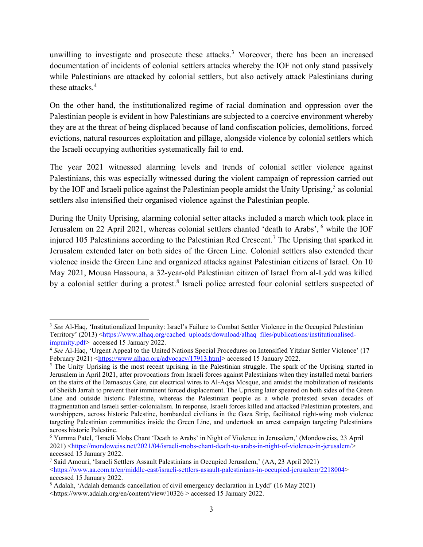unwilling to investigate and prosecute these attacks. <sup>3</sup> Moreover, there has been an increased documentation of incidents of colonial settlers attacks whereby the IOF not only stand passively while Palestinians are attacked by colonial settlers, but also actively attack Palestinians during these attacks.<sup>4</sup>

On the other hand, the institutionalized regime of racial domination and oppression over the Palestinian people is evident in how Palestinians are subjected to a coercive environment whereby they are at the threat of being displaced because of land confiscation policies, demolitions, forced evictions, natural resources exploitation and pillage, alongside violence by colonial settlers which the Israeli occupying authorities systematically fail to end.

The year 2021 witnessed alarming levels and trends of colonial settler violence against Palestinians, this was especially witnessed during the violent campaign of repression carried out by the IOF and Israeli police against the Palestinian people amidst the Unity Uprising,<sup>5</sup> as colonial settlers also intensified their organised violence against the Palestinian people.

During the Unity Uprising, alarming colonial setter attacks included a march which took place in Jerusalem on 22 April 2021, whereas colonial settlers chanted 'death to Arabs', <sup>6</sup> while the IOF injured 105 Palestinians according to the Palestinian Red Crescent.<sup>7</sup> The Uprising that sparked in Jerusalem extended later on both sides of the Green Line. Colonial settlers also extended their violence inside the Green Line and organized attacks against Palestinian citizens of Israel. On 10 May 2021, Mousa Hassouna, a 32-year-old Palestinian citizen of Israel from al-Lydd was killed by a colonial settler during a protest.<sup>8</sup> Israeli police arrested four colonial settlers suspected of

<sup>&</sup>lt;sup>3</sup> See Al-Haq, 'Institutionalized Impunity: Israel's Failure to Combat Settler Violence in the Occupied Palestinian Territory' (2013) [<https://www.alhaq.org/cached\\_uploads/download/alhaq\\_files/publications/institutionalised](https://www.alhaq.org/cached_uploads/download/alhaq_files/publications/institutionalised-impunity.pdf)[impunity.pdf>](https://www.alhaq.org/cached_uploads/download/alhaq_files/publications/institutionalised-impunity.pdf) accessed 15 January 2022.

<sup>4</sup> *See* Al-Haq, 'Urgent Appeal to the United Nations Special Procedures on Intensified Yitzhar Settler Violence' (17 February 2021) [<https://www.alhaq.org/advocacy/17913.html>](https://www.alhaq.org/advocacy/17913.html) accessed 15 January 2022.

 $5$  The Unity Uprising is the most recent uprising in the Palestinian struggle. The spark of the Uprising started in Jerusalem in April 2021, after provocations from Israeli forces against Palestinians when they installed metal barriers on the stairs of the Damascus Gate, cut electrical wires to Al-Aqsa Mosque, and amidst the mobilization of residents of Sheikh Jarrah to prevent their imminent forced displacement. The Uprising later speared on both sides of the Green Line and outside historic Palestine, whereas the Palestinian people as a whole protested seven decades of fragmentation and Israeli settler-colonialism. In response, Israeli forces killed and attacked Palestinian protesters, and worshippers, across historic Palestine, bombarded civilians in the Gaza Strip, facilitated right-wing mob violence targeting Palestinian communities inside the Green Line, and undertook an arrest campaign targeting Palestinians across historic Palestine.

<sup>6</sup> Yumma Patel, 'Israeli Mobs Chant 'Death to Arabs' in Night of Violence in Jerusalem,' (Mondoweiss, 23 April 2021) [<https://mondoweiss.net/2021/04/israeli-mobs-chant-death-to-arabs-in-night-of-violence-in-jerusalem/>](https://mondoweiss.net/2021/04/israeli-mobs-chant-death-to-arabs-in-night-of-violence-in-jerusalem/) accessed 15 January 2022.

<sup>7</sup> Said Amouri, 'Israeli Settlers Assault Palestinians in Occupied Jerusalem,' (AA, 23 April 2021) [<https://www.aa.com.tr/en/middle-east/israeli-settlers-assault-palestinians-in-occupied-jerusalem/2218004>](https://www.aa.com.tr/en/middle-east/israeli-settlers-assault-palestinians-in-occupied-jerusalem/2218004) accessed 15 January 2022.

<sup>8</sup> Adalah, 'Adalah demands cancellation of civil emergency declaration in Lydd' (16 May 2021) <https://www.adalah.org/en/content/view/10326 > accessed 15 January 2022.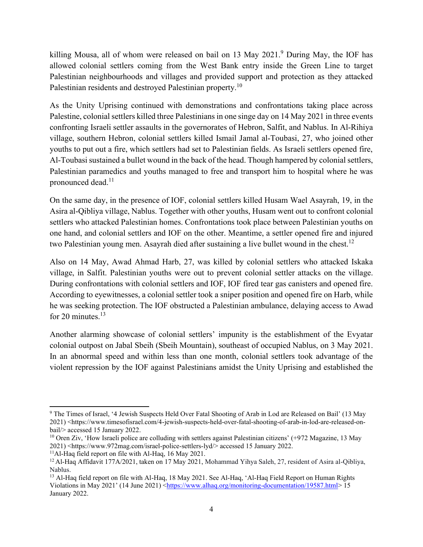killing Mousa, all of whom were released on bail on 13 May 2021.<sup>9</sup> During May, the IOF has allowed colonial settlers coming from the West Bank entry inside the Green Line to target Palestinian neighbourhoods and villages and provided support and protection as they attacked Palestinian residents and destroyed Palestinian property.<sup>10</sup>

As the Unity Uprising continued with demonstrations and confrontations taking place across Palestine, colonial settlers killed three Palestinians in one singe day on 14 May 2021 in three events confronting Israeli settler assaults in the governorates of Hebron, Salfit, and Nablus. In Al-Rihiya village, southern Hebron, colonial settlers killed Ismail Jamal al-Toubasi, 27, who joined other youths to put out a fire, which settlers had set to Palestinian fields. As Israeli settlers opened fire, Al-Toubasi sustained a bullet wound in the back of the head. Though hampered by colonial settlers, Palestinian paramedics and youths managed to free and transport him to hospital where he was pronounced dead.<sup>11</sup>

On the same day, in the presence of IOF, colonial settlers killed Husam Wael Asayrah, 19, in the Asira al-Qibliya village, Nablus. Together with other youths, Husam went out to confront colonial settlers who attacked Palestinian homes. Confrontations took place between Palestinian youths on one hand, and colonial settlers and IOF on the other. Meantime, a settler opened fire and injured two Palestinian young men. Asayrah died after sustaining a live bullet wound in the chest.<sup>12</sup>

Also on 14 May, Awad Ahmad Harb, 27, was killed by colonial settlers who attacked Iskaka village, in Salfit. Palestinian youths were out to prevent colonial settler attacks on the village. During confrontations with colonial settlers and IOF, IOF fired tear gas canisters and opened fire. According to eyewitnesses, a colonial settler took a sniper position and opened fire on Harb, while he was seeking protection. The IOF obstructed a Palestinian ambulance, delaying access to Awad for 20 minutes. $13$ 

Another alarming showcase of colonial settlers' impunity is the establishment of the Evyatar colonial outpost on Jabal Sbeih (Sbeih Mountain), southeast of occupied Nablus, on 3 May 2021. In an abnormal speed and within less than one month, colonial settlers took advantage of the violent repression by the IOF against Palestinians amidst the Unity Uprising and established the

<sup>9</sup> The Times of Israel, '4 Jewish Suspects Held Over Fatal Shooting of Arab in Lod are Released on Bail' (13 May 2021) <https://www.timesofisrael.com/4-jewish-suspects-held-over-fatal-shooting-of-arab-in-lod-are-released-onbail/> accessed 15 January 2022.

 $10$  Oren Ziv, 'How Israeli police are colluding with settlers against Palestinian citizens' (+972 Magazine, 13 May 2021) [<https://www.972mag.com/israel-police-settlers-lyd/>](https://www.972mag.com/israel-police-settlers-lyd/) accessed 15 January 2022.

<sup>11</sup>Al-Haq field report on file with Al-Haq, 16 May 2021.

<sup>&</sup>lt;sup>12</sup> Al-Haq Affidavit 177A/2021, taken on 17 May 2021, Mohammad Yihya Saleh, 27, resident of Asira al-Qibliya, Nablus.

<sup>&</sup>lt;sup>13</sup> Al-Haq field report on file with Al-Haq, 18 May 2021. See Al-Haq, 'Al-Haq Field Report on Human Rights Violations in May 2021' (14 June 2021) [<https://www.alhaq.org/monitoring-documentation/19587.html>](https://www.alhaq.org/monitoring-documentation/19587.html) 15 January 2022.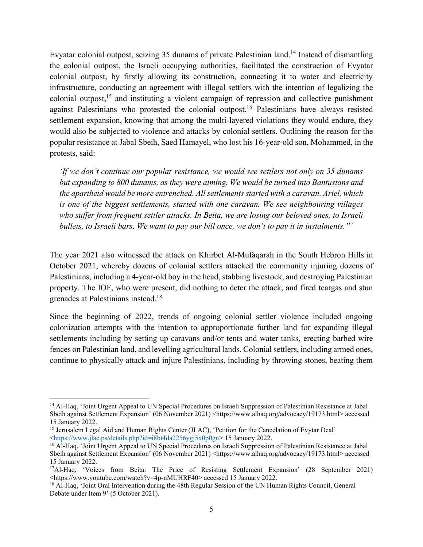Evyatar colonial outpost, seizing 35 dunams of private Palestinian land.<sup>14</sup> Instead of dismantling the colonial outpost, the Israeli occupying authorities, facilitated the construction of Evyatar colonial outpost, by firstly allowing its construction, connecting it to water and electricity infrastructure, conducting an agreement with illegal settlers with the intention of legalizing the colonial outpost,<sup>15</sup> and instituting a violent campaign of repression and collective punishment against Palestinians who protested the colonial outpost.<sup>16</sup> Palestinians have always resisted settlement expansion, knowing that among the multi-layered violations they would endure, they would also be subjected to violence and attacks by colonial settlers. Outlining the reason for the popular resistance at Jabal Sbeih, Saed Hamayel, who lost his 16-year-old son, Mohammed, in the protests, said:

*'If we don't continue our popular resistance, we would see settlers not only on 35 dunams but expanding to 800 dunams, as they were aiming. We would be turned into Bantustans and the apartheid would be more entrenched. All settlements started with a caravan. Ariel, which is one of the biggest settlements, started with one caravan. We see neighbouring villages who suffer from frequent settler attacks. In Beita, we are losing our beloved ones, to Israeli bullets, to Israeli bars. We want to pay our bill once, we don't to pay it in instalments.'<sup>17</sup>*

The year 2021 also witnessed the attack on Khirbet Al-Mufaqarah in the South Hebron Hills in October 2021, whereby dozens of colonial settlers attacked the community injuring dozens of Palestinians, including a 4-year-old boy in the head, stabbing livestock, and destroying Palestinian property. The IOF, who were present, did nothing to deter the attack, and fired teargas and stun grenades at Palestinians instead.<sup>18</sup>

Since the beginning of 2022, trends of ongoing colonial settler violence included ongoing colonization attempts with the intention to approportionate further land for expanding illegal settlements including by setting up caravans and/or tents and water tanks, erecting barbed wire fences on Palestinian land, and levelling agricultural lands. Colonial settlers, including armed ones, continue to physically attack and injure Palestinians, including by throwing stones, beating them

<sup>14</sup> Al-Haq, 'Joint Urgent Appeal to UN Special Procedures on Israeli Suppression of Palestinian Resistance at Jabal Sbeih against Settlement Expansion' (06 November 2021) <https://www.alhaq.org/advocacy/19173.html> accessed 15 January 2022.

<sup>&</sup>lt;sup>15</sup> Jerusalem Legal Aid and Human Rights Center (JLAC), 'Petition for the Cancelation of Evytar Deal' [<https://www.jlac.ps/details.php?id=i8bt4da2256ygj5x0p0gu>](https://www.jlac.ps/details.php?id=i8bt4da2256ygj5x0p0gu) 15 January 2022.

<sup>16</sup> Al-Haq, 'Joint Urgent Appeal to UN Special Procedures on Israeli Suppression of Palestinian Resistance at Jabal Sbeih against Settlement Expansion' (06 November 2021) <https://www.alhaq.org/advocacy/19173.html> accessed 15 January 2022.

<sup>&</sup>lt;sup>17</sup>Al-Haq, 'Voices from Beita: The Price of Resisting Settlement Expansion' (28 September 2021) [<https://www.youtube.com/watch?v=4p-nMUHRF40>](https://www.youtube.com/watch?v=4p-nMUHRF40) accessed 15 January 2022.

<sup>&</sup>lt;sup>18</sup> Al-Haq, 'Joint Oral Intervention during the 48th Regular Session of the UN Human Rights Council, General Debate under Item 9' (5 October 2021).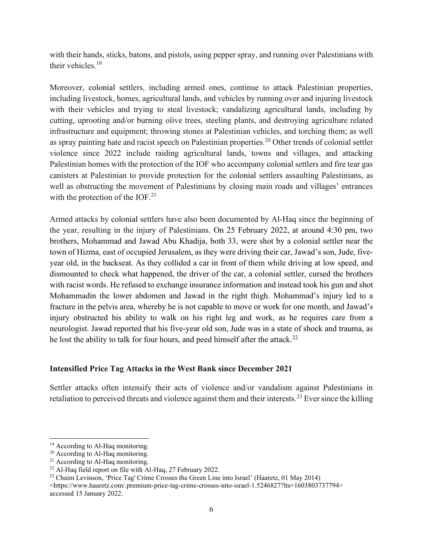with their hands, sticks, batons, and pistols, using pepper spray, and running over Palestinians with their vehicles.<sup>19</sup>

Moreover, colonial settlers, including armed ones, continue to attack Palestinian properties, including livestock, homes, agricultural lands, and vehicles by running over and injuring livestock with their vehicles and trying to steal livestock; vandalizing agricultural lands, including by cutting, uprooting and/or burning olive trees, steeling plants, and destroying agriculture related infrastructure and equipment; throwing stones at Palestinian vehicles, and torching them; as well as spray painting hate and racist speech on Palestinian properties.<sup>20</sup> Other trends of colonial settler violence since 2022 include raiding agricultural lands, towns and villages, and attacking Palestinian homes with the protection of the IOF who accompany colonial settlers and fire tear gas canisters at Palestinian to provide protection for the colonial settlers assaulting Palestinians, as well as obstructing the movement of Palestinians by closing main roads and villages' entrances with the protection of the IOF. $^{21}$ 

Armed attacks by colonial settlers have also been documented by Al-Haq since the beginning of the year, resulting in the injury of Palestinians. On 25 February 2022, at around 4:30 pm, two brothers, Mohammad and Jawad Abu Khadija, both 33, were shot by a colonial settler near the town of Hizma, east of occupied Jerusalem, as they were driving their car, Jawad's son, Jude, fiveyear old, in the backseat. As they collided a car in front of them while driving at low speed, and dismounted to check what happened, the driver of the car, a colonial settler, cursed the brothers with racist words. He refused to exchange insurance information and instead took his gun and shot Mohammadin the lower abdomen and Jawad in the right thigh. Mohammad's injury led to a fracture in the pelvis area, whereby he is not capable to move or work for one month, and Jawad's injury obstructed his ability to walk on his right leg and work, as he requires care from a neurologist. Jawad reported that his five-year old son, Jude was in a state of shock and trauma, as he lost the ability to talk for four hours, and peed himself after the attack.<sup>22</sup>

#### **Intensified Price Tag Attacks in the West Bank since December 2021**

Settler attacks often intensify their acts of violence and/or vandalism against Palestinians in retaliation to perceived threats and violence against them and their interests.<sup>23</sup> Ever since the killing

<sup>&</sup>lt;sup>19</sup> According to Al-Haq monitoring.

<sup>&</sup>lt;sup>20</sup> According to Al-Haq monitoring.

<sup>&</sup>lt;sup>21</sup> According to Al-Haq monitoring.

<sup>&</sup>lt;sup>22</sup> Al-Haq field report on file with Al-Haq, 27 February 2022.

<sup>23</sup> Chaim Levinson, 'Price Tag' Crime Crosses the Green Line into Israel' (Haaretz, 01 May 2014)

<sup>&</sup>lt;https://www.haaretz.com/.premium-price-tag-crime-crosses-into-israel-1.5246827?lts=1603803737794> accessed 15 January 2022.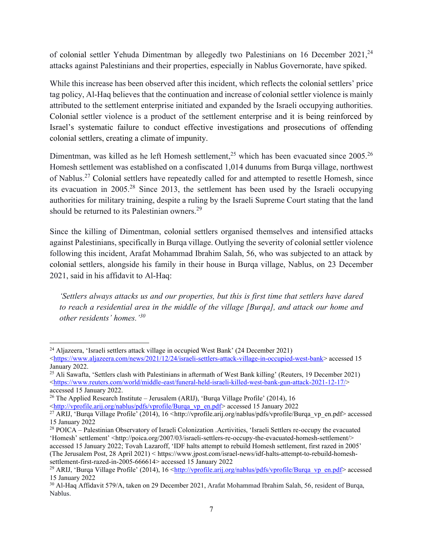of colonial settler Yehuda Dimentman by allegedly two Palestinians on 16 December 2021,<sup>24</sup> attacks against Palestinians and their properties, especially in Nablus Governorate, have spiked.

While this increase has been observed after this incident, which reflects the colonial settlers' price tag policy, Al-Haq believes that the continuation and increase of colonial settler violence is mainly attributed to the settlement enterprise initiated and expanded by the Israeli occupying authorities. Colonial settler violence is a product of the settlement enterprise and it is being reinforced by Israel's systematic failure to conduct effective investigations and prosecutions of offending colonial settlers, creating a climate of impunity.

Dimentman, was killed as he left Homesh settlement,<sup>25</sup> which has been evacuated since  $2005.^{26}$ Homesh settlement was established on a confiscated 1,014 dunums from Burqa village, northwest of Nablus.<sup>27</sup> Colonial settlers have repeatedly called for and attempted to resettle Homesh, since its evacuation in 2005.<sup>28</sup> Since 2013, the settlement has been used by the Israeli occupying authorities for military training, despite a ruling by the Israeli Supreme Court stating that the land should be returned to its Palestinian owners.<sup>29</sup>

Since the killing of Dimentman, colonial settlers organised themselves and intensified attacks against Palestinians, specifically in Burqa village. Outlying the severity of colonial settler violence following this incident, Arafat Mohammad Ibrahim Salah, 56, who was subjected to an attack by colonial settlers, alongside his family in their house in Burqa village, Nablus, on 23 December 2021, said in his affidavit to Al-Haq:

*'Settlers always attacks us and our properties, but this is first time that settlers have dared to reach a residential area in the middle of the village [Burqa], and attack our home and other residents' homes.' 30*

<sup>24</sup> Aljazeera, 'Israeli settlers attack village in occupied West Bank' (24 December 2021) [<https://www.aljazeera.com/news/2021/12/24/israeli-settlers-attack-village-in-occupied-west-bank>](https://www.aljazeera.com/news/2021/12/24/israeli-settlers-attack-village-in-occupied-west-bank) accessed 15 January 2022.

<sup>&</sup>lt;sup>25</sup> Ali Sawafta, 'Settlers clash with Palestinians in aftermath of West Bank killing' (Reuters, 19 December 2021) [<https://www.reuters.com/world/middle-east/funeral-held-israeli-killed-west-bank-gun-attack-2021-12-17/>](https://www.reuters.com/world/middle-east/funeral-held-israeli-killed-west-bank-gun-attack-2021-12-17/) accessed 15 January 2022.

<sup>&</sup>lt;sup>26</sup> The Applied Research Institute – Jerusalem (ARIJ), 'Burqa Village Profile' (2014), 16

[<sup>&</sup>lt;http://vprofile.arij.org/nablus/pdfs/vprofile/Burqa\\_vp\\_en.pdf>](http://vprofile.arij.org/nablus/pdfs/vprofile/Burqa_vp_en.pdf) accessed 15 January 2022

<sup>&</sup>lt;sup>27</sup> ARIJ, 'Burqa Village Profile' (2014), 16 <[http://vprofile.arij.org/nablus/pdfs/vprofile/Burqa\\_vp\\_en.pdf>](http://vprofile.arij.org/nablus/pdfs/vprofile/Burqa_vp_en.pdf) accessed 15 January 2022

<sup>28</sup> POICA – Palestinian Observatory of Israeli Colonization .Acrtivities, 'Israeli Settlers re-occupy the evacuated 'Homesh' settlement' <http://poica.org/2007/03/israeli-settlers-re-occupy-the-evacuated-homesh-settlement/> accessed 15 January 2022; Tovah Lazaroff, 'IDF halts attempt to rebuild Homesh settlement, first razed in 2005'

<sup>(</sup>The Jerusalem Post, 28 April 2021) < https://www.jpost.com/israel-news/idf-halts-attempt-to-rebuild-homeshsettlement-first-razed-in-2005-666614> accessed 15 January 2022

<sup>&</sup>lt;sup>29</sup> ARIJ, 'Burqa Village Profile' (2014), 16 [<http://vprofile.arij.org/nablus/pdfs/vprofile/Burqa\\_vp\\_en.pdf>](http://vprofile.arij.org/nablus/pdfs/vprofile/Burqa_vp_en.pdf) accessed 15 January 2022

<sup>&</sup>lt;sup>30</sup> Al-Haq Affidavit 579/A, taken on 29 December 2021, Arafat Mohammad Ibrahim Salah, 56, resident of Burqa, Nablus.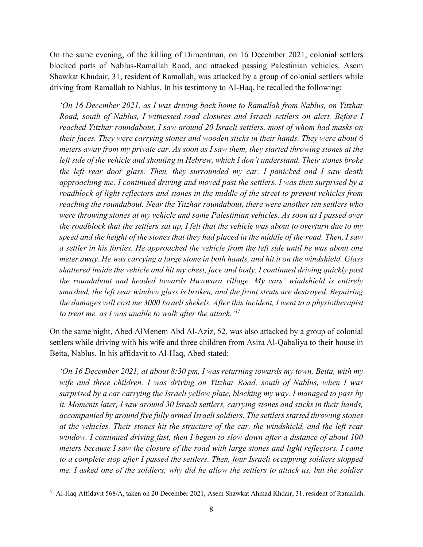On the same evening, of the killing of Dimentman, on 16 December 2021, colonial settlers blocked parts of Nablus-Ramallah Road, and attacked passing Palestinian vehicles. Asem Shawkat Khudair, 31, resident of Ramallah, was attacked by a group of colonial settlers while driving from Ramallah to Nablus. In his testimony to Al-Haq, he recalled the following:

*'On 16 December 2021, as I was driving back home to Ramallah from Nablus, on Yitzhar Road, south of Nablus, I witnessed road closures and Israeli settlers on alert. Before I reached Yitzhar roundabout, I saw around 20 Israeli settlers, most of whom had masks on their faces. They were carrying stones and wooden sticks in their hands. They were about 6 meters away from my private car. As soon as I saw them, they started throwing stones at the left side of the vehicle and shouting in Hebrew, which I don't understand. Their stones broke the left rear door glass. Then, they surrounded my car. I panicked and I saw death approaching me. I continued driving and moved past the settlers. I was then surprised by a roadblock of light reflectors and stones in the middle of the street to prevent vehicles from reaching the roundabout. Near the Yitzhar roundabout, there were another ten settlers who were throwing stones at my vehicle and some Palestinian vehicles. As soon as I passed over the roadblock that the settlers sat up, I felt that the vehicle was about to overturn due to my speed and the height of the stones that they had placed in the middle of the road. Then, I saw a settler in his forties. He approached the vehicle from the left side until he was about one meter away. He was carrying a large stone in both hands, and hit it on the windshield. Glass shattered inside the vehicle and hit my chest, face and body. I continued driving quickly past the roundabout and headed towards Huwwara village. My cars' windshield is entirely smashed, the left rear window glass is broken, and the front struts are destroyed. Repairing the damages will cost me 3000 Israeli shekels. After this incident, I went to a physiotherapist to treat me, as I was unable to walk after the attack.' 31*

On the same night, Abed AlMenem Abd Al-Aziz, 52, was also attacked by a group of colonial settlers while driving with his wife and three children from Asira Al-Qabaliya to their house in Beita, Nablus. In his affidavit to Al-Haq, Abed stated:

*'On 16 December 2021, at about 8:30 pm, I was returning towards my town, Beita, with my wife and three children. I was driving on Yitzhar Road, south of Nablus, when I was surprised by a car carrying the Israeli yellow plate, blocking my way. I managed to pass by it. Moments later, I saw around 30 Israeli settlers, carrying stones and sticks in their hands, accompanied by around five fully armed Israeli soldiers. The settlers started throwing stones at the vehicles. Their stones hit the structure of the car, the windshield, and the left rear window. I continued driving fast, then I began to slow down after a distance of about 100 meters because I saw the closure of the road with large stones and light reflectors. I came to a complete stop after I passed the settlers. Then, four Israeli occupying soldiers stopped me. I asked one of the soldiers, why did he allow the settlers to attack us, but the soldier* 

<sup>&</sup>lt;sup>31</sup> Al-Haq Affidavit 568/A, taken on 20 December 2021, Asem Shawkat Ahmad Khdair, 31, resident of Ramallah.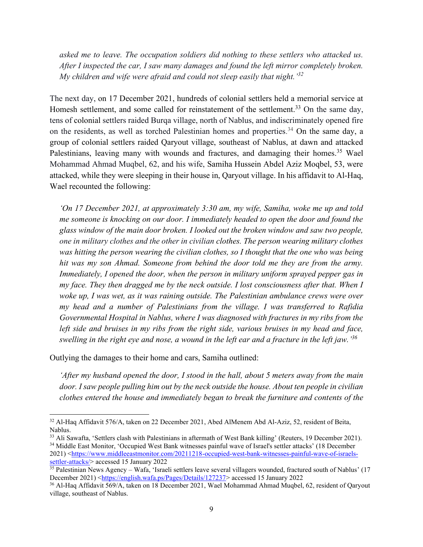*asked me to leave. The occupation soldiers did nothing to these settlers who attacked us. After I inspected the car, I saw many damages and found the left mirror completely broken. My children and wife were afraid and could not sleep easily that night.' 32*

The next day, on 17 December 2021, hundreds of colonial settlers held a memorial service at Homesh settlement, and some called for reinstatement of the settlement.<sup>33</sup> On the same day, tens of colonial settlers raided Burqa village, north of Nablus, and indiscriminately opened fire on the residents, as well as torched Palestinian homes and properties.<sup>34</sup> On the same day, a group of colonial settlers raided Qaryout village, southeast of Nablus, at dawn and attacked Palestinians, leaving many with wounds and fractures, and damaging their homes.<sup>35</sup> Wael Mohammad Ahmad Muqbel, 62, and his wife, Samiha Hussein Abdel Aziz Moqbel, 53, were attacked, while they were sleeping in their house in, Qaryout village. In his affidavit to Al-Haq, Wael recounted the following:

*'On 17 December 2021, at approximately 3:30 am, my wife, Samiha, woke me up and told me someone is knocking on our door. I immediately headed to open the door and found the glass window of the main door broken. I looked out the broken window and saw two people, one in military clothes and the other in civilian clothes. The person wearing military clothes was hitting the person wearing the civilian clothes, so I thought that the one who was being hit was my son Ahmad. Someone from behind the door told me they are from the army. Immediately, I opened the door, when the person in military uniform sprayed pepper gas in my face. They then dragged me by the neck outside. I lost consciousness after that. When I woke up, I was wet, as it was raining outside. The Palestinian ambulance crews were over my head and a number of Palestinians from the village. I was transferred to Rafidia Governmental Hospital in Nablus, where I was diagnosed with fractures in my ribs from the left side and bruises in my ribs from the right side, various bruises in my head and face, swelling in the right eye and nose, a wound in the left ear and a fracture in the left jaw.' 36*

Outlying the damages to their home and cars, Samiha outlined:

*'After my husband opened the door, I stood in the hall, about 5 meters away from the main door. I saw people pulling him out by the neck outside the house. About ten people in civilian clothes entered the house and immediately began to break the furniture and contents of the* 

<sup>&</sup>lt;sup>32</sup> Al-Haq Affidavit 576/A, taken on 22 December 2021, Abed AlMenem Abd Al-Aziz, 52, resident of Beita, Nablus.

<sup>&</sup>lt;sup>33</sup> Ali Sawafta, 'Settlers clash with Palestinians in aftermath of West Bank killing' (Reuters, 19 December 2021). <sup>34</sup> Middle East Monitor, 'Occupied West Bank witnesses painful wave of Israel's settler attacks' (18 December 2021) [<https://www.middleeastmonitor.com/20211218-occupied-west-bank-witnesses-painful-wave-of-israels](https://www.middleeastmonitor.com/20211218-occupied-west-bank-witnesses-painful-wave-of-israels-settler-attacks/)[settler-attacks/>](https://www.middleeastmonitor.com/20211218-occupied-west-bank-witnesses-painful-wave-of-israels-settler-attacks/) accessed 15 January 2022

<sup>&</sup>lt;sup>35</sup> Palestinian News Agency – Wafa, 'Israeli settlers leave several villagers wounded, fractured south of Nablus' (17 December 2021) [<https://english.wafa.ps/Pages/Details/127237>](https://english.wafa.ps/Pages/Details/127237) accessed 15 January 2022

<sup>&</sup>lt;sup>36</sup> Al-Haq Affidavit 569/A, taken on 18 December 2021, Wael Mohammad Ahmad Muqbel, 62, resident of Qaryout village, southeast of Nablus.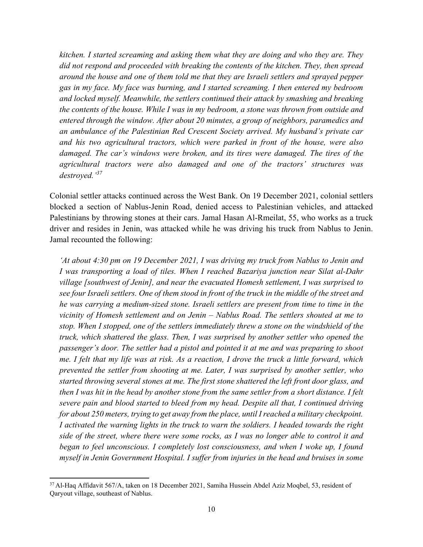*kitchen. I started screaming and asking them what they are doing and who they are. They did not respond and proceeded with breaking the contents of the kitchen. They, then spread around the house and one of them told me that they are Israeli settlers and sprayed pepper gas in my face. My face was burning, and I started screaming. I then entered my bedroom and locked myself. Meanwhile, the settlers continued their attack by smashing and breaking the contents of the house. While I was in my bedroom, a stone was thrown from outside and entered through the window. After about 20 minutes, a group of neighbors, paramedics and an ambulance of the Palestinian Red Crescent Society arrived. My husband's private car and his two agricultural tractors, which were parked in front of the house, were also damaged. The car's windows were broken, and its tires were damaged. The tires of the agricultural tractors were also damaged and one of the tractors' structures was destroyed.' 37*

Colonial settler attacks continued across the West Bank. On 19 December 2021, colonial settlers blocked a section of Nablus-Jenin Road, denied access to Palestinian vehicles, and attacked Palestinians by throwing stones at their cars. Jamal Hasan Al-Rmeilat, 55, who works as a truck driver and resides in Jenin, was attacked while he was driving his truck from Nablus to Jenin. Jamal recounted the following:

*'At about 4:30 pm on 19 December 2021, I was driving my truck from Nablus to Jenin and I was transporting a load of tiles. When I reached Bazariya junction near Silat al-Dahr village [southwest of Jenin], and near the evacuated Homesh settlement, I was surprised to see four Israeli settlers. One of them stood in front of the truck in the middle of the street and he was carrying a medium-sized stone. Israeli settlers are present from time to time in the vicinity of Homesh settlement and on Jenin – Nablus Road. The settlers shouted at me to stop. When I stopped, one of the settlers immediately threw a stone on the windshield of the truck, which shattered the glass. Then, I was surprised by another settler who opened the passenger's door. The settler had a pistol and pointed it at me and was preparing to shoot me. I felt that my life was at risk. As a reaction, I drove the truck a little forward, which prevented the settler from shooting at me. Later, I was surprised by another settler, who started throwing several stones at me. The first stone shattered the left front door glass, and then I was hit in the head by another stone from the same settler from a short distance. I felt severe pain and blood started to bleed from my head. Despite all that, I continued driving for about 250 meters, trying to get away from the place, until I reached a military checkpoint. I activated the warning lights in the truck to warn the soldiers. I headed towards the right side of the street, where there were some rocks, as I was no longer able to control it and began to feel unconscious. I completely lost consciousness, and when I woke up, I found myself in Jenin Government Hospital. I suffer from injuries in the head and bruises in some* 

<sup>37</sup> Al-Haq Affidavit 567/A, taken on 18 December 2021, Samiha Hussein Abdel Aziz Moqbel, 53, resident of Qaryout village, southeast of Nablus.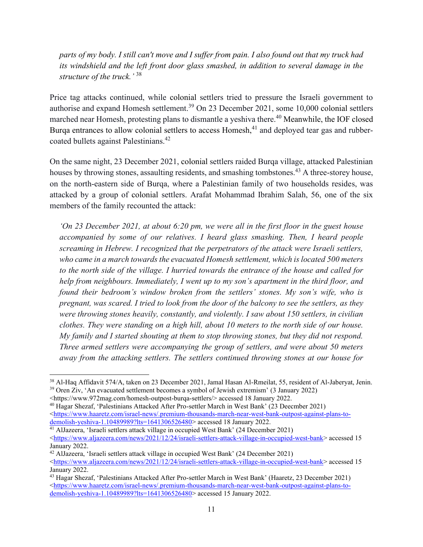*parts of my body. I still can't move and I suffer from pain. I also found out that my truck had its windshield and the left front door glass smashed, in addition to several damage in the structure of the truck.'* 38

Price tag attacks continued, while colonial settlers tried to pressure the Israeli government to authorise and expand Homesh settlement.<sup>39</sup> On 23 December 2021, some 10,000 colonial settlers marched near Homesh, protesting plans to dismantle a yeshiva there.<sup>40</sup> Meanwhile, the IOF closed Burqa entrances to allow colonial settlers to access Homesh,<sup>41</sup> and deployed tear gas and rubbercoated bullets against Palestinians.<sup>42</sup>

On the same night, 23 December 2021, colonial settlers raided Burqa village, attacked Palestinian houses by throwing stones, assaulting residents, and smashing tombstones.<sup>43</sup> A three-storey house, on the north-eastern side of Burqa, where a Palestinian family of two households resides, was attacked by a group of colonial settlers. Arafat Mohammad Ibrahim Salah, 56, one of the six members of the family recounted the attack:

*'On 23 December 2021, at about 6:20 pm, we were all in the first floor in the guest house accompanied by some of our relatives. I heard glass smashing. Then, I heard people screaming in Hebrew. I recognized that the perpetrators of the attack were Israeli settlers, who came in a march towards the evacuated Homesh settlement, which is located 500 meters to the north side of the village. I hurried towards the entrance of the house and called for help from neighbours. Immediately, I went up to my son's apartment in the third floor, and found their bedroom's window broken from the settlers' stones. My son's wife, who is pregnant, was scared. I tried to look from the door of the balcony to see the settlers, as they were throwing stones heavily, constantly, and violently. I saw about 150 settlers, in civilian clothes. They were standing on a high hill, about 10 meters to the north side of our house. My family and I started shouting at them to stop throwing stones, but they did not respond. Three armed settlers were accompanying the group of settlers, and were about 50 meters away from the attacking settlers. The settlers continued throwing stones at our house for* 

<sup>38</sup> Al-Haq Affidavit 574/A, taken on 23 December 2021, Jamal Hasan Al-Rmeilat, 55, resident of Al-Jaberyat, Jenin. <sup>39</sup> Oren Ziv, 'An evacuated settlement becomes a symbol of Jewish extremism' (3 January 2022)

[<sup>&</sup>lt;https://www.972mag.com/homesh-outpost-burqa-settlers/>](https://www.972mag.com/homesh-outpost-burqa-settlers/) accessed 18 January 2022.

<sup>40</sup> Hagar Shezaf, 'Palestinians Attacked After Pro-settler March in West Bank' (23 Deecmber 2021) [<https://www.haaretz.com/israel-news/.premium-thousands-march-near-west-bank-outpost-against-plans-to](https://www.haaretz.com/israel-news/.premium-thousands-march-near-west-bank-outpost-against-plans-to-demolish-yeshiva-1.10489989?lts=1641306526480)[demolish-yeshiva-1.10489989?lts=1641306526480>](https://www.haaretz.com/israel-news/.premium-thousands-march-near-west-bank-outpost-against-plans-to-demolish-yeshiva-1.10489989?lts=1641306526480) accessed 18 January 2022.

<sup>&</sup>lt;sup>41</sup> AlJazeera, 'Israeli settlers attack village in occupied West Bank' (24 December 2021) [<https://www.aljazeera.com/news/2021/12/24/israeli-settlers-attack-village-in-occupied-west-bank>](https://www.aljazeera.com/news/2021/12/24/israeli-settlers-attack-village-in-occupied-west-bank) accessed 15 January 2022.

<sup>42</sup> AlJazeera, 'Israeli settlers attack village in occupied West Bank' (24 December 2021) [<https://www.aljazeera.com/news/2021/12/24/israeli-settlers-attack-village-in-occupied-west-bank>](https://www.aljazeera.com/news/2021/12/24/israeli-settlers-attack-village-in-occupied-west-bank) accessed 15 January 2022.

<sup>43</sup> Hagar Shezaf, 'Palestinians Attacked After Pro-settler March in West Bank' (Haaretz, 23 December 2021) [<https://www.haaretz.com/israel-news/.premium-thousands-march-near-west-bank-outpost-against-plans-to](https://www.haaretz.com/israel-news/.premium-thousands-march-near-west-bank-outpost-against-plans-to-demolish-yeshiva-1.10489989?lts=1641306526480)[demolish-yeshiva-1.10489989?lts=1641306526480>](https://www.haaretz.com/israel-news/.premium-thousands-march-near-west-bank-outpost-against-plans-to-demolish-yeshiva-1.10489989?lts=1641306526480) accessed 15 January 2022.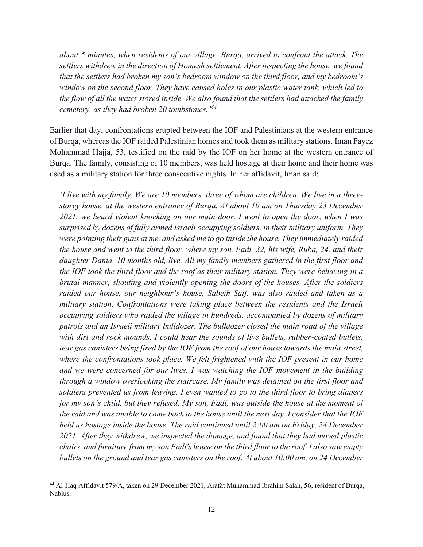*about 5 minutes, when residents of our village, Burqa, arrived to confront the attack. The settlers withdrew in the direction of Homesh settlement. After inspecting the house, we found that the settlers had broken my son's bedroom window on the third floor, and my bedroom's window on the second floor. They have caused holes in our plastic water tank, which led to the flow of all the water stored inside. We also found that the settlers had attacked the family cemetery, as they had broken 20 tombstones.' 44*

Earlier that day, confrontations erupted between the IOF and Palestinians at the western entrance of Burqa, whereas the IOF raided Palestinian homes and took them as military stations. Iman Fayez Mohammad Hajja, 53, testified on the raid by the IOF on her home at the western entrance of Burqa. The family, consisting of 10 members, was held hostage at their home and their home was used as a military station for three consecutive nights. In her affidavit, Iman said:

*'I live with my family. We are 10 members, three of whom are children. We live in a threestorey house, at the western entrance of Burqa. At about 10 am on Thursday 23 December 2021, we heard violent knocking on our main door. I went to open the door, when I was surprised by dozens of fully armed Israeli occupying soldiers, in their military uniform. They were pointing their guns at me, and asked me to go inside the house. They immediately raided the house and went to the third floor, where my son, Fadi, 32, his wife, Ruba, 24, and their daughter Dania, 10 months old, live. All my family members gathered in the first floor and the IOF took the third floor and the roof as their military station. They were behaving in a brutal manner, shouting and violently opening the doors of the houses. After the soldiers raided our house, our neighbour's house, Sabeih Saif, was also raided and taken as a military station. Confrontations were taking place between the residents and the Israeli occupying soldiers who raided the village in hundreds, accompanied by dozens of military patrols and an Israeli military bulldozer. The bulldozer closed the main road of the village with dirt and rock mounds. I could hear the sounds of live bullets, rubber-coated bullets, tear gas canisters being fired by the IOF from the roof of our house towards the main street, where the confrontations took place. We felt frightened with the IOF present in our home and we were concerned for our lives. I was watching the IOF movement in the building through a window overlooking the staircase. My family was detained on the first floor and soldiers prevented us from leaving. I even wanted to go to the third floor to bring diapers for my son's child, but they refused. My son, Fadi, was outside the house at the moment of the raid and was unable to come back to the house until the next day. I consider that the IOF held us hostage inside the house. The raid continued until 2:00 am on Friday, 24 December 2021. After they withdrew, we inspected the damage, and found that they had moved plastic chairs, and furniture from my son Fadi's house on the third floor to the roof. I also saw empty bullets on the ground and tear gas canisters on the roof. At about 10:00 am, on 24 December* 

<sup>44</sup> Al-Haq Affidavit 579/A, taken on 29 December 2021, Arafat Muhammad Ibrahim Salah, 56, resident of Burqa, Nablus.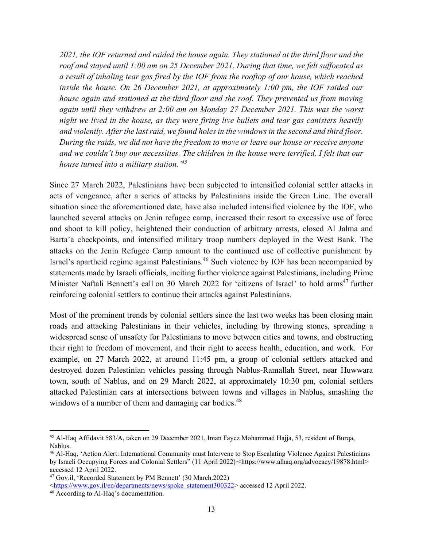*2021, the IOF returned and raided the house again. They stationed at the third floor and the roof and stayed until 1:00 am on 25 December 2021. During that time, we felt suffocated as a result of inhaling tear gas fired by the IOF from the rooftop of our house, which reached inside the house. On 26 December 2021, at approximately 1:00 pm, the IOF raided our house again and stationed at the third floor and the roof. They prevented us from moving again until they withdrew at 2:00 am on Monday 27 December 2021. This was the worst night we lived in the house, as they were firing live bullets and tear gas canisters heavily and violently. After the last raid, we found holes in the windows in the second and third floor. During the raids, we did not have the freedom to move or leave our house or receive anyone and we couldn't buy our necessities. The children in the house were terrified. I felt that our house turned into a military station.' 45*

Since 27 March 2022, Palestinians have been subjected to intensified colonial settler attacks in acts of vengeance, after a series of attacks by Palestinians inside the Green Line. The overall situation since the aforementioned date, have also included intensified violence by the IOF, who [launched several attacks on Jenin refugee camp,](https://www.trtworld.com/middle-east/several-palestinians-killed-in-west-bank-israeli-raid-continues-in-jenin-56246) increased their resort to excessive use of force and shoot to kill policy, heightened their conduction of arbitrary arrests, closed Al Jalma and Barta'a checkpoints, and intensified military troop numbers deployed in the West Bank. The attacks on the Jenin Refugee Camp amount to the continued use of collective punishment by Israel's apartheid regime against Palestinians.<sup>46</sup> Such violence by IOF has been accompanied by statements made by Israeli officials, inciting further violence against Palestinians, including Prime Minister Naftali Bennett's call on 30 March 2022 for 'citizens of Israel' to hold arms<sup>47</sup> further reinforcing colonial settlers to continue their attacks against Palestinians.

Most of the prominent trends by colonial settlers since the last two weeks has been closing main roads and attacking Palestinians in their vehicles, including by throwing stones, spreading a widespread sense of unsafety for Palestinians to move between cities and towns, and obstructing their right to freedom of movement, and their right to access health, education, and work. For example, on 27 March 2022, at around 11:45 pm, a group of colonial settlers attacked and destroyed dozen Palestinian vehicles passing through Nablus-Ramallah Street, near Huwwara town, south of Nablus, and on 29 March 2022, at approximately 10:30 pm, colonial settlers attacked Palestinian cars at intersections between towns and villages in Nablus, smashing the windows of a number of them and damaging car bodies.<sup>48</sup>

<sup>45</sup> Al-Haq Affidavit 583/A, taken on 29 December 2021, Iman Fayez Mohammad Hajja, 53, resident of Burqa, Nablus.

<sup>46</sup> Al-Haq, 'Action Alert: International Community must Intervene to Stop Escalating Violence Against Palestinians by Israeli Occupying Forces and Colonial Settlers" (11 April 2022) [<https://www.alhaq.org/advocacy/19878.html>](https://www.alhaq.org/advocacy/19878.html) accessed 12 April 2022.

<sup>47</sup> Gov.il, 'Recorded Statement by PM Bennett' (30 March.2022)

[<sup>&</sup>lt;https://www.gov.il/en/departments/news/spoke\\_statement300322>](https://www.gov.il/en/departments/news/spoke_statement300322) accessed 12 April 2022.

<sup>48</sup> According to Al-Haq's documentation.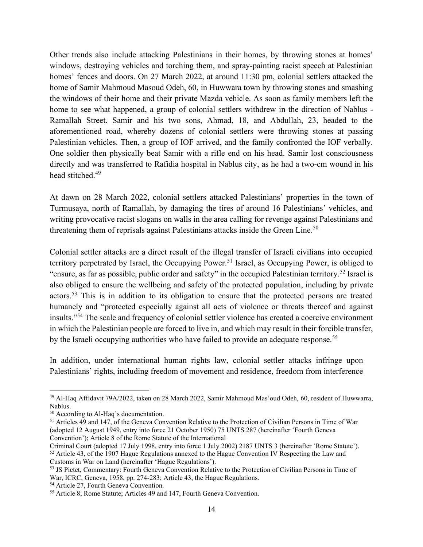Other trends also include attacking Palestinians in their homes, by throwing stones at homes' windows, destroying vehicles and torching them, and spray-painting racist speech at Palestinian homes' fences and doors. On 27 March 2022, at around 11:30 pm, colonial settlers attacked the home of Samir Mahmoud Masoud Odeh, 60, in Huwwara town by throwing stones and smashing the windows of their home and their private Mazda vehicle. As soon as family members left the home to see what happened, a group of colonial settlers withdrew in the direction of Nablus - Ramallah Street. Samir and his two sons, Ahmad, 18, and Abdullah, 23, headed to the aforementioned road, whereby dozens of colonial settlers were throwing stones at passing Palestinian vehicles. Then, a group of IOF arrived, and the family confronted the IOF verbally. One soldier then physically beat Samir with a rifle end on his head. Samir lost consciousness directly and was transferred to Rafidia hospital in Nablus city, as he had a two-cm wound in his head stitched.<sup>49</sup>

At dawn on 28 March 2022, colonial settlers attacked Palestinians' properties in the town of Turmusaya, north of Ramallah, by damaging the tires of around 16 Palestinians' vehicles, and writing provocative racist slogans on walls in the area calling for revenge against Palestinians and threatening them of reprisals against Palestinians attacks inside the Green Line.<sup>50</sup>

Colonial settler attacks are a direct result of the illegal transfer of Israeli civilians into occupied territory perpetrated by Israel, the Occupying Power.<sup>51</sup> Israel, as Occupying Power, is obliged to "ensure, as far as possible, public order and safety" in the occupied Palestinian territory.<sup>52</sup> Israel is also obliged to ensure the wellbeing and safety of the protected population, including by private actors.<sup>53</sup> This is in addition to its obligation to ensure that the protected persons are treated humanely and "protected especially against all acts of violence or threats thereof and against insults."<sup>54</sup> The scale and frequency of colonial settler violence has created a coercive environment in which the Palestinian people are forced to live in, and which may result in their forcible transfer, by the Israeli occupying authorities who have failed to provide an adequate response.<sup>55</sup>

In addition, under international human rights law, colonial settler attacks infringe upon Palestinians' rights, including freedom of movement and residence, freedom from interference

<sup>49</sup> Al-Haq Affidavit 79A/2022, taken on 28 March 2022, Samir Mahmoud Mas'oud Odeh, 60, resident of Huwwarra, Nablus.

<sup>50</sup> According to Al-Haq's documentation.

<sup>51</sup> Articles 49 and 147, of the Geneva Convention Relative to the Protection of Civilian Persons in Time of War (adopted 12 August 1949, entry into force 21 October 1950) 75 UNTS 287 (hereinafter 'Fourth Geneva Convention'); Article 8 of the Rome Statute of the International

Criminal Court (adopted 17 July 1998, entry into force 1 July 2002) 2187 UNTS 3 (hereinafter 'Rome Statute'). <sup>52</sup> Article 43, of the 1907 Hague Regulations annexed to the Hague Convention IV Respecting the Law and Customs in War on Land (hereinafter 'Hague Regulations').

<sup>53</sup> JS Pictet, Commentary: Fourth Geneva Convention Relative to the Protection of Civilian Persons in Time of War, ICRC, Geneva, 1958, pp. 274-283; Article 43, the Hague Regulations.

<sup>54</sup> Article 27, Fourth Geneva Convention.

<sup>55</sup> Article 8, Rome Statute; Articles 49 and 147, Fourth Geneva Convention.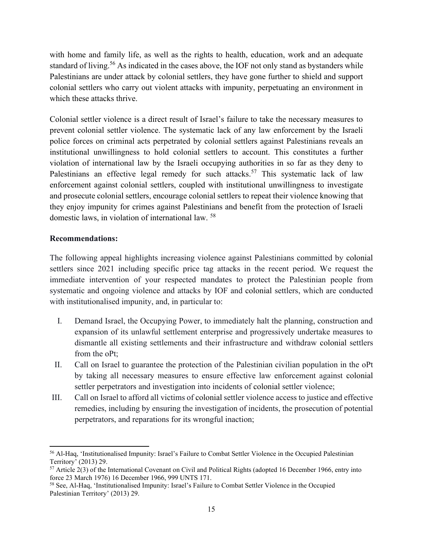with home and family life, as well as the rights to health, education, work and an adequate standard of living.<sup>56</sup> As indicated in the cases above, the IOF not only stand as bystanders while Palestinians are under attack by colonial settlers, they have gone further to shield and support colonial settlers who carry out violent attacks with impunity, perpetuating an environment in which these attacks thrive.

Colonial settler violence is a direct result of Israel's failure to take the necessary measures to prevent colonial settler violence. The systematic lack of any law enforcement by the Israeli police forces on criminal acts perpetrated by colonial settlers against Palestinians reveals an institutional unwillingness to hold colonial settlers to account. This constitutes a further violation of international law by the Israeli occupying authorities in so far as they deny to Palestinians an effective legal remedy for such attacks.<sup>57</sup> This systematic lack of law enforcement against colonial settlers, coupled with institutional unwillingness to investigate and prosecute colonial settlers, encourage colonial settlers to repeat their violence knowing that they enjoy impunity for crimes against Palestinians and benefit from the protection of Israeli domestic laws, in violation of international law. <sup>58</sup>

#### **Recommendations:**

The following appeal highlights increasing violence against Palestinians committed by colonial settlers since 2021 including specific price tag attacks in the recent period. We request the immediate intervention of your respected mandates to protect the Palestinian people from systematic and ongoing violence and attacks by IOF and colonial settlers, which are conducted with institutionalised impunity, and, in particular to:

- I. Demand Israel, the Occupying Power, to immediately halt the planning, construction and expansion of its unlawful settlement enterprise and progressively undertake measures to dismantle all existing settlements and their infrastructure and withdraw colonial settlers from the oPt;
- II. Call on Israel to guarantee the protection of the Palestinian civilian population in the oPt by taking all necessary measures to ensure effective law enforcement against colonial settler perpetrators and investigation into incidents of colonial settler violence;
- III. Call on Israel to afford all victims of colonial settler violence access to justice and effective remedies, including by ensuring the investigation of incidents, the prosecution of potential perpetrators, and reparations for its wrongful inaction;

<sup>56</sup> Al-Haq, 'Institutionalised Impunity: Israel's Failure to Combat Settler Violence in the Occupied Palestinian Territory' (2013) 29.

 $57$  Article 2(3) of the International Covenant on Civil and Political Rights (adopted 16 December 1966, entry into force 23 March 1976) 16 December 1966, 999 UNTS 171.

<sup>58</sup> See, Al-Haq, 'Institutionalised Impunity: Israel's Failure to Combat Settler Violence in the Occupied Palestinian Territory' (2013) 29.